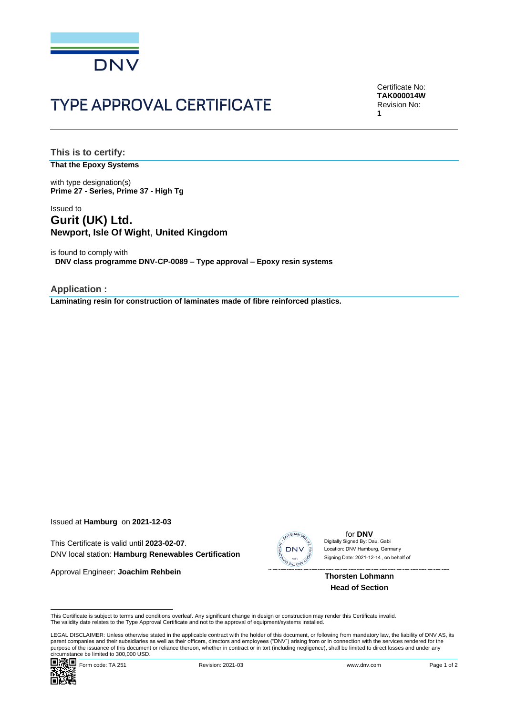

# **TYPE APPROVAL CERTIFICATE**

Certificate No: **TAK000014W** Revision No: **1**

**This is to certify:**

**That the Epoxy Systems**

with type designation(s) **Prime 27 - Series, Prime 37 - High Tg**

### Issued to **Gurit (UK) Ltd. Newport, Isle Of Wight**, **United Kingdom**

is found to comply with **DNV class programme DNV-CP-0089 – Type approval – Epoxy resin systems**

**Application : Laminating resin for construction of laminates made of fibre reinforced plastics.**

Issued at **Hamburg** on **2021-12-03**

This Certificate is valid until **2023-02-07**. DNV local station: **Hamburg Renewables Certification**

Approval Engineer: **Joachim Rehbein**



for **DNV** Digitally Signed By: Dau, Gabi Signing Date: 2021-12-14 , on behalf ofLocation: DNV Hamburg, Germany

**Thorsten Lohmann Head of Section**

This Certificate is subject to terms and conditions overleaf. Any significant change in design or construction may render this Certificate invalid.<br>The validity date relates to the Type Approval Certificate and not to the

LEGAL DISCLAIMER: Unless otherwise stated in the applicable contract with the holder of this document, or following from mandatory law, the liability of DNV AS, its<br>parent companies and their subsidiaries as well as their purpose of the issuance of this document or reliance thereon, whether in contract or in tort (including negligence), shall be limited to direct losses and under any circumstance be limited to 300,000 USD.